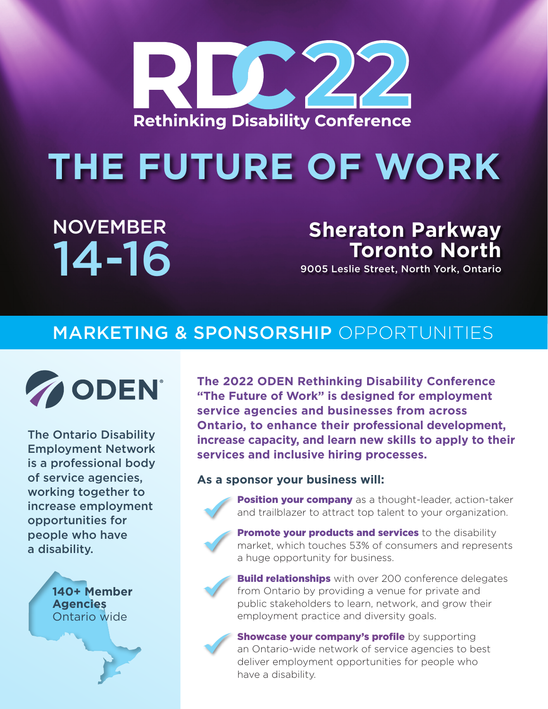

# **THE FUTURE OF WORK**

NOVEMBER 14-16

#### **Sheraton Parkway Toronto North**

9005 Leslie Street, North York, Ontario

#### MARKETING & SPONSORSHIP OPPORTUNITIES



The Ontario Disability Employment Network is a professional body of service agencies, working together to increase employment opportunities for people who have a disability.

> **140+ Member Agencies** Ontario wide

**The 2022 ODEN Rethinking Disability Conference "The Future of Work" is designed for employment service agencies and businesses from across Ontario, to enhance their professional development, increase capacity, and learn new skills to apply to their services and inclusive hiring processes.** 

#### **As a sponsor your business will:**



**Position your company** as a thought-leader, action-taker and trailblazer to attract top talent to your organization.



Promote your products and services to the disability market, which touches 53% of consumers and represents a huge opportunity for business.



**Build relationships** with over 200 conference delegates from Ontario by providing a venue for private and public stakeholders to learn, network, and grow their employment practice and diversity goals.



**Showcase your company's profile** by supporting an Ontario-wide network of service agencies to best deliver employment opportunities for people who have a disability.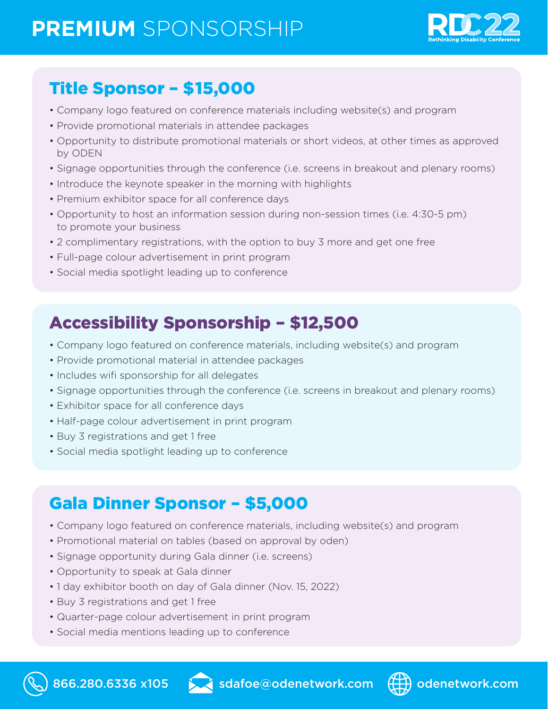## **PREMIUM** SPONSORSHIP



#### Title Sponsor – \$15,000

- Company logo featured on conference materials including website(s) and program
- Provide promotional materials in attendee packages
- Opportunity to distribute promotional materials or short videos, at other times as approved by ODEN
- Signage opportunities through the conference (i.e. screens in breakout and plenary rooms)
- Introduce the keynote speaker in the morning with highlights
- Premium exhibitor space for all conference days
- Opportunity to host an information session during non-session times (i.e. 4:30-5 pm) to promote your business
- 2 complimentary registrations, with the option to buy 3 more and get one free
- Full-page colour advertisement in print program
- Social media spotlight leading up to conference

#### Accessibility Sponsorship – \$12,500

- Company logo featured on conference materials, including website(s) and program
- Provide promotional material in attendee packages
- Includes wifi sponsorship for all delegates
- Signage opportunities through the conference (i.e. screens in breakout and plenary rooms)
- Exhibitor space for all conference days
- Half-page colour advertisement in print program
- Buy 3 registrations and get 1 free
- Social media spotlight leading up to conference

#### Gala Dinner Sponsor – \$5,000

- Company logo featured on conference materials, including website(s) and program
- Promotional material on tables (based on approval by oden)
- Signage opportunity during Gala dinner (i.e. screens)
- Opportunity to speak at Gala dinner
- 1 day exhibitor booth on day of Gala dinner (Nov. 15, 2022)
- Buy 3 registrations and get 1 free
- Quarter-page colour advertisement in print program
- Social media mentions leading up to conference



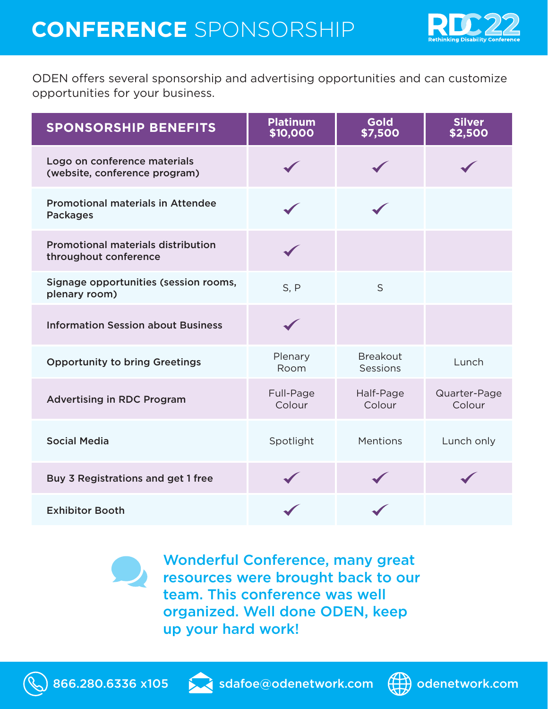

ODEN offers several sponsorship and advertising opportunities and can customize opportunities for your business.

| <b>SPONSORSHIP BENEFITS</b>                                        | <b>Platinum</b><br>\$10,000 | <b>Gold</b><br>\$7,500      | <b>Silver</b><br>\$2,500 |
|--------------------------------------------------------------------|-----------------------------|-----------------------------|--------------------------|
| Logo on conference materials<br>(website, conference program)      |                             |                             |                          |
| <b>Promotional materials in Attendee</b><br><b>Packages</b>        |                             |                             |                          |
| <b>Promotional materials distribution</b><br>throughout conference |                             |                             |                          |
| Signage opportunities (session rooms,<br>plenary room)             | S, P                        | S                           |                          |
| <b>Information Session about Business</b>                          |                             |                             |                          |
| <b>Opportunity to bring Greetings</b>                              | Plenary<br>Room             | <b>Breakout</b><br>Sessions | Lunch                    |
| <b>Advertising in RDC Program</b>                                  | Full-Page<br>Colour         | Half-Page<br>Colour         | Quarter-Page<br>Colour   |
| <b>Social Media</b>                                                | Spotlight                   | Mentions                    | Lunch only               |
| Buy 3 Registrations and get 1 free                                 |                             |                             |                          |
| <b>Exhibitor Booth</b>                                             |                             |                             |                          |



Wonderful Conference, many great resources were brought back to our team. This conference was well organized. Well done ODEN, keep up your hard work!